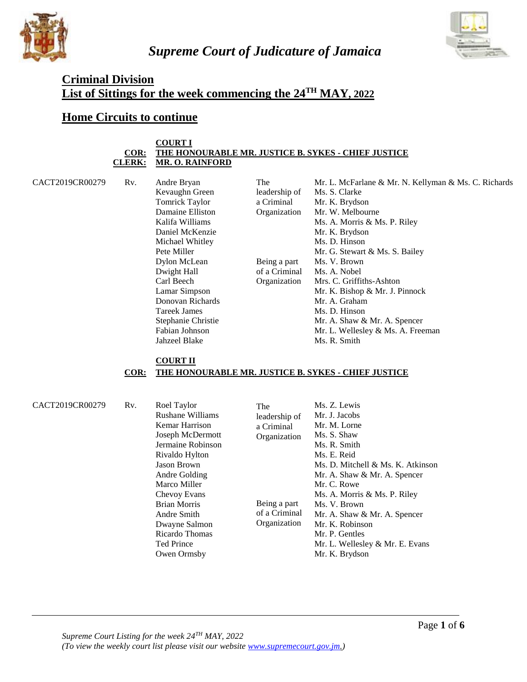

*Supreme Court of Judicature of Jamaica*



# **Criminal Division List of Sittings for the week commencing the 24TH MAY, 2022**

# **Home Circuits to continue**

#### **COURT I COR: THE HONOURABLE MR. JUSTICE B. SYKES - CHIEF JUSTICE CLERK: MR. O. RAINFORD**

CACT2019CR00279 Rv. Andre Bryan

Kevaughn Green Tomrick Taylor Damaine Elliston Kalifa Williams Daniel McKenzie Michael Whitley Pete Miller Dylon McLean Dwight Hall Carl Beech Lamar Simpson Donovan Richards Tareek James Stephanie Christie Fabian Johnson Jahzeel Blake

The leadership of a Criminal Organization Being a part of a Criminal Organization Mr. L. McFarlane & Mr. N. Kellyman & Ms. C. Richards Ms. S. Clarke Mr. K. Brydson Mr. W. Melbourne Ms. A. Morris & Ms. P. Riley Mr. K. Brydson Ms. D. Hinson Mr. G. Stewart & Ms. S. Bailey Ms. V. Brown Ms. A. Nobel Mrs. C. Griffiths-Ashton Mr. K. Bishop & Mr. J. Pinnock Mr. A. Graham Ms. D. Hinson Mr. A. Shaw & Mr. A. Spencer Mr. L. Wellesley & Ms. A. Freeman Ms. R. Smith

#### **COURT II COR: THE HONOURABLE MR. JUSTICE B. SYKES - CHIEF JUSTICE**

CACT2019CR00279 Rv. Roel Taylor

Rushane Williams Kemar Harrison Joseph McDermott Jermaine Robinson Rivaldo Hylton Jason Brown Andre Golding Marco Miller Chevoy Evans Brian Morris Andre Smith Dwayne Salmon Ricardo Thomas Ted Prince Owen Ormsby The leadership of a Criminal Organization Being a part of a Criminal **Organization** Ms. Z. Lewis Mr. J. Jacobs Mr. M. Lorne Ms. S. Shaw Ms. R. Smith Ms. E. Reid Ms. D. Mitchell & Ms. K. Atkinson Mr. A. Shaw & Mr. A. Spencer Mr. C. Rowe Ms. A. Morris & Ms. P. Riley Ms. V. Brown Mr. A. Shaw & Mr. A. Spencer Mr. K. Robinson Mr. P. Gentles Mr. L. Wellesley & Mr. E. Evans Mr. K. Brydson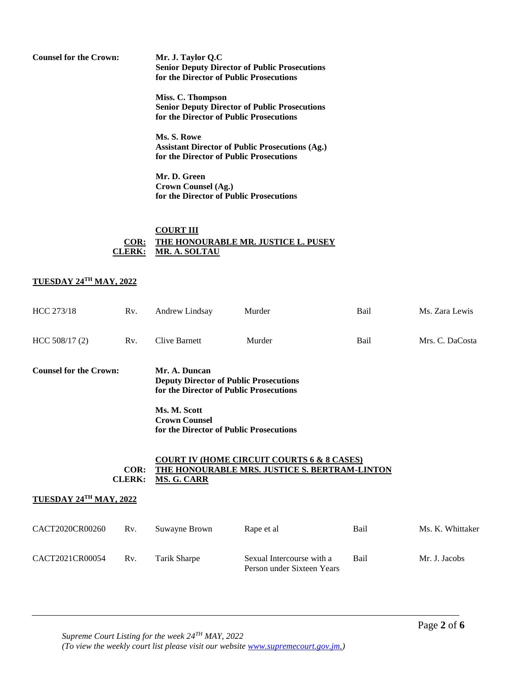**Counsel for the Crown: Mr. J. Taylor Q.C Senior Deputy Director of Public Prosecutions for the Director of Public Prosecutions** 

> **Miss. C. Thompson Senior Deputy Director of Public Prosecutions for the Director of Public Prosecutions**

> **Ms. S. Rowe Assistant Director of Public Prosecutions (Ag.) for the Director of Public Prosecutions**

**Mr. D. Green Crown Counsel (Ag.) for the Director of Public Prosecutions**

### **COURT III COR: THE HONOURABLE MR. JUSTICE L. PUSEY CLERK: MR. A. SOLTAU**

#### **TUESDAY 24TH MAY, 2022**

| HCC 273/18                             | Rv.<br>Andrew Lindsay |                                                                                                                                                                                              | Murder                                                                                                        | Bail          | Ms. Zara Lewis   |
|----------------------------------------|-----------------------|----------------------------------------------------------------------------------------------------------------------------------------------------------------------------------------------|---------------------------------------------------------------------------------------------------------------|---------------|------------------|
| HCC 508/17 (2)                         | Rv.                   | Clive Barnett                                                                                                                                                                                | Murder                                                                                                        | Bail          | Mrs. C. DaCosta  |
| <b>Counsel for the Crown:</b>          |                       | Mr. A. Duncan<br><b>Deputy Director of Public Prosecutions</b><br>for the Director of Public Prosecutions<br>Ms. M. Scott<br><b>Crown Counsel</b><br>for the Director of Public Prosecutions |                                                                                                               |               |                  |
| TUESDAY 24TH MAY, 2022                 | COR:<br><b>CLERK:</b> | <b>MS. G. CARR</b>                                                                                                                                                                           | <b>COURT IV (HOME CIRCU<u>IT COURTS 6 &amp; 8 CASES)</u></b><br>THE HONOURABLE MRS. JUSTICE S. BERTRAM-LINTON |               |                  |
|                                        |                       |                                                                                                                                                                                              |                                                                                                               |               |                  |
| CACT2020CR00260                        | Rv.                   | Suwayne Brown                                                                                                                                                                                | Rape et al                                                                                                    | Bail          | Ms. K. Whittaker |
| CACT2021CR00054<br>Rv.<br>Tarik Sharpe |                       | Sexual Intercourse with a<br>Person under Sixteen Years                                                                                                                                      | Bail                                                                                                          | Mr. J. Jacobs |                  |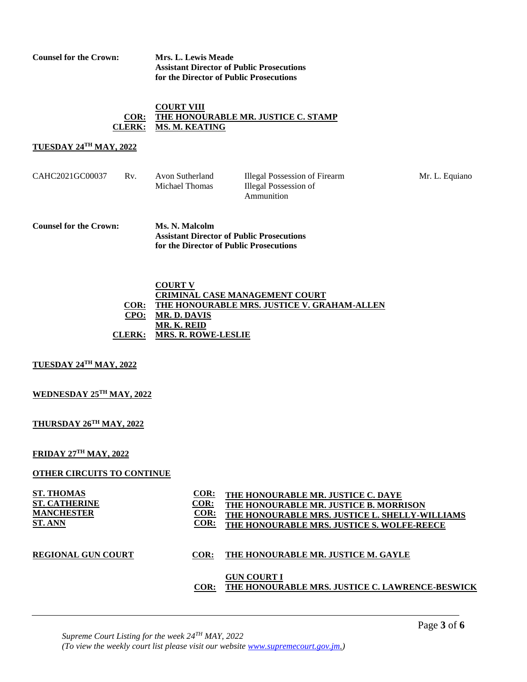**Counsel for the Crown: Mrs. L. Lewis Meade**

**Assistant Director of Public Prosecutions for the Director of Public Prosecutions**

#### **COURT VIII COR: THE HONOURABLE MR. JUSTICE C. STAMP CLERK: MS. M. KEATING**

### **TUESDAY 24TH MAY, 2022**

| CAHC2021GC00037 | Rv. | Avon Sutherland<br>Michael Thomas | Illegal Possession of Firearm<br>Illegal Possession of<br>Ammunition | Mr. L. Equiano |
|-----------------|-----|-----------------------------------|----------------------------------------------------------------------|----------------|
|                 |     |                                   |                                                                      |                |

**Counsel for the Crown: Ms. N. Malcolm Assistant Director of Public Prosecutions for the Director of Public Prosecutions**

#### **COURT V CRIMINAL CASE MANAGEMENT COURT COR: THE HONOURABLE MRS. JUSTICE V. GRAHAM-ALLEN CPO: CLERK: MR. D. DAVIS MR. K. REID MRS. R. ROWE-LESLIE**

#### **TUESDAY 24TH MAY, 2022**

#### **WEDNESDAY 25TH MAY, 2022**

#### **THURSDAY 26TH MAY, 2022**

#### **FRIDAY 27TH MAY, 2022**

#### **OTHER CIRCUITS TO CONTINUE**

| <b>ST. THOMAS</b>         | COR:    | THE HONOURABLE MR. JUSTICE C. DAYE             |
|---------------------------|---------|------------------------------------------------|
| <b>ST. CATHERINE</b>      | COR:    | THE HONOURABLE MR. JUSTICE B. MORRISON         |
| <b>MANCHESTER</b>         | COR:    | THE HONOURABLE MRS. JUSTICE L. SHELLY-WILLIAMS |
| <b>ST. ANN</b>            | $COR$ : | THE HONOURABLE MRS. JUSTICE S. WOLFE-REECE     |
| <b>REGIONAL GUN COURT</b> |         | THE HONOURABLE MR. JUSTICE M. GAYLE            |

### **THE HONOURABLE MR. JUSTICE M. GAYLE**

#### **COR: THE HONOURABLE MRS. JUSTICE C. LAWRENCE-BESWICKGUN COURT I**

*Supreme Court Listing for the week 24TH MAY, 2022 (To view the weekly court list please visit our website [www.supremecourt.gov.jm.](http://www.supremecourt.gov.jm/))*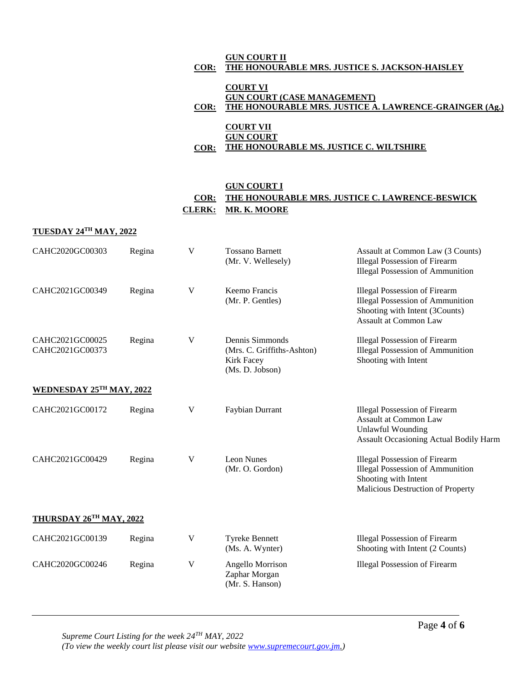|      | <b>GUN COURT II</b>                                    |
|------|--------------------------------------------------------|
| COR: | THE HONOURABLE MRS. JUSTICE S. JACKSON-HAISLEY         |
|      |                                                        |
|      | <b>COURT VI</b>                                        |
|      | <b>GUN COURT (CASE MANAGEMENT)</b>                     |
| COR: | THE HONOURABLE MRS. JUSTICE A. LAWRENCE-GRAINGER (Ag.) |
|      |                                                        |

|      | <b>COURT VII</b>                        |
|------|-----------------------------------------|
|      | <b>GUN COURT</b>                        |
| COR: | THE HONOURABLE MS. JUSTICE C. WILTSHIRE |

### **GUN COURT I COR: THE HONOURABLE MRS. JUSTICE C. LAWRENCE-BESWICK CLERK: MR. K. MOORE**

### **TUESDAY 24TH MAY, 2022**

| CAHC2020GC00303                    | Regina | $\mathbf{V}$ | <b>Tossano Barnett</b><br>(Mr. V. Wellesely)                                   | Assault at Common Law (3 Counts)<br><b>Illegal Possession of Firearm</b><br><b>Illegal Possession of Ammunition</b>                          |
|------------------------------------|--------|--------------|--------------------------------------------------------------------------------|----------------------------------------------------------------------------------------------------------------------------------------------|
| CAHC2021GC00349                    | Regina | $\mathbf V$  | Keemo Francis<br>(Mr. P. Gentles)                                              | <b>Illegal Possession of Firearm</b><br><b>Illegal Possession of Ammunition</b><br>Shooting with Intent (3Counts)<br>Assault at Common Law   |
| CAHC2021GC00025<br>CAHC2021GC00373 | Regina | V            | Dennis Simmonds<br>(Mrs. C. Griffiths-Ashton)<br>Kirk Facey<br>(Ms. D. Jobson) | <b>Illegal Possession of Firearm</b><br><b>Illegal Possession of Ammunition</b><br>Shooting with Intent                                      |
| <b>WEDNESDAY 25TH MAY, 2022</b>    |        |              |                                                                                |                                                                                                                                              |
| CAHC2021GC00172                    | Regina | $\mathbf V$  | Faybian Durrant                                                                | <b>Illegal Possession of Firearm</b><br>Assault at Common Law<br><b>Unlawful Wounding</b><br><b>Assault Occasioning Actual Bodily Harm</b>   |
| CAHC2021GC00429                    | Regina | V            | Leon Nunes<br>(Mr. O. Gordon)                                                  | <b>Illegal Possession of Firearm</b><br><b>Illegal Possession of Ammunition</b><br>Shooting with Intent<br>Malicious Destruction of Property |
| THURSDAY 26TH MAY, 2022            |        |              |                                                                                |                                                                                                                                              |
| CAHC2021GC00139                    | Regina | $\mathbf V$  | <b>Tyreke Bennett</b><br>(Ms. A. Wynter)                                       | <b>Illegal Possession of Firearm</b><br>Shooting with Intent (2 Counts)                                                                      |
| CAHC2020GC00246                    | Regina | V            | Angello Morrison<br>Zaphar Morgan<br>(Mr. S. Hanson)                           | <b>Illegal Possession of Firearm</b>                                                                                                         |

*Supreme Court Listing for the week 24TH MAY, 2022 (To view the weekly court list please visit our website [www.supremecourt.gov.jm.](http://www.supremecourt.gov.jm/))*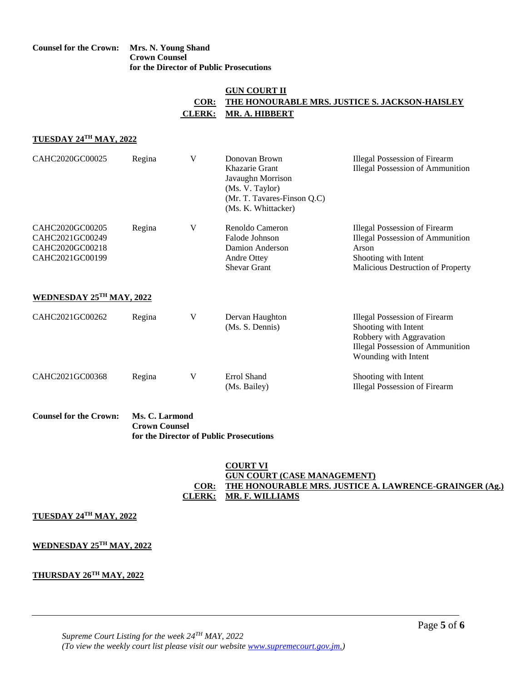#### **Counsel for the Crown: Mrs. N. Young Shand Crown Counsel for the Director of Public Prosecutions**

### **GUN COURT II COR: THE HONOURABLE MRS. JUSTICE S. JACKSON-HAISLEY CLERK: MR. A. HIBBERT**

## **TUESDAY 24TH MAY, 2022**

| CAHC2020GC00025                                                          | Regina | V | Donovan Brown<br>Khazarie Grant<br>Javaughn Morrison<br>(Ms. V. Taylor)<br>(Mr. T. Tavares-Finson Q.C)<br>(Ms. K. Whittacker) | <b>Illegal Possession of Firearm</b><br><b>Illegal Possession of Ammunition</b>                                                                       |
|--------------------------------------------------------------------------|--------|---|-------------------------------------------------------------------------------------------------------------------------------|-------------------------------------------------------------------------------------------------------------------------------------------------------|
| CAHC2020GC00205<br>CAHC2021GC00249<br>CAHC2020GC00218<br>CAHC2021GC00199 | Regina | V | Renoldo Cameron<br>Falode Johnson<br>Damion Anderson<br>Andre Ottey<br><b>Shevar Grant</b>                                    | <b>Illegal Possession of Firearm</b><br><b>Illegal Possession of Ammunition</b><br>Arson<br>Shooting with Intent<br>Malicious Destruction of Property |
| WEDNESDAY 25TH MAY, 2022                                                 |        |   |                                                                                                                               |                                                                                                                                                       |
| CAHC2021GC00262                                                          | Regina | V | Dervan Haughton<br>(Ms. S. Dennis)                                                                                            | Illegal Possession of Firearm<br>Shooting with Intent<br>Robbery with Aggravation<br><b>Illegal Possession of Ammunition</b><br>Wounding with Intent  |
| CAHC2021GC00368                                                          | Regina | V | Errol Shand<br>(Ms. Bailey)                                                                                                   | Shooting with Intent<br><b>Illegal Possession of Firearm</b>                                                                                          |

**Counsel for the Crown: Ms. C. Larmond Crown Counsel for the Director of Public Prosecutions**

#### **COURT VI GUN COURT (CASE MANAGEMENT) COR: THE HONOURABLE MRS. JUSTICE A. LAWRENCE-GRAINGER (Ag.) CLERK: MR. F. WILLIAMS**

#### **TUESDAY 24TH MAY, 2022**

#### **WEDNESDAY 25TH MAY, 2022**

#### **THURSDAY 26TH MAY, 2022**